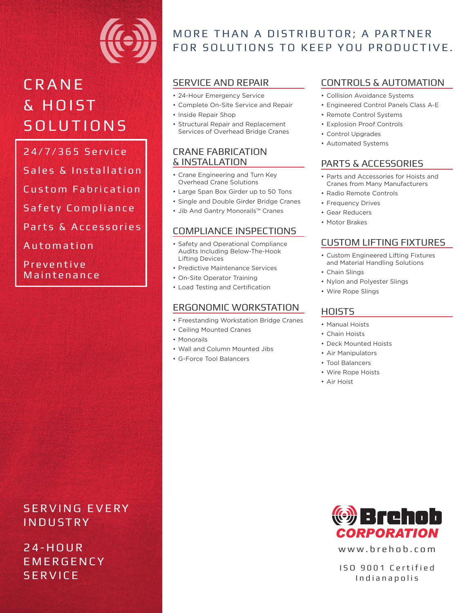

# **C R A N E** & H O I ST **SOLUTIONS**

24/7/365 Service Sales & Installation Custom Fabrication Safety Compliance Parts & Accessories Automation

**Preventive** Maintenance

# SERVING EVERY INDUSTRY

2 4 - H O U R **EMERGENCY SERVICE** 

# MORE THAN A DISTRIBUTOR; A PARTNER FOR SOLUTIONS TO KEEP YOU PRODUCTIVE.

## SERVICE AND REPAIR

- 24-Hour Emergency Service
- Complete On-Site Service and Repair
- Inside Repair Shop
- Structural Repair and Replacement Services of Overhead Bridge Cranes

#### CRANE FABRICATION & INSTALLATION

- Crane Engineering and Turn Key Overhead Crane Solutions
- Large Span Box Girder up to 50 Tons
- Single and Double Girder Bridge Cranes
- Jib And Gantry Monorails™ Cranes

# COMPLIANCE INSPECTIONS

- Safety and Operational Compliance Audits Including Below-The-Hook Lifting Devices
- Predictive Maintenance Services
- On-Site Operator Training
- Load Testing and Certification

### ERGONOMIC WORKSTATION

- Freestanding Workstation Bridge Cranes
- Ceiling Mounted Cranes
- Monorails
- Wall and Column Mounted Jibs
- G-Force Tool Balancers

## CONTROLS & AUTOMATION

- Collision Avoidance Systems
- Engineered Control Panels Class A-E
- Remote Control Systems
- Explosion Proof Controls
- Control Upgrades
- Automated Systems

# PARTS & ACCESSORIES

- Parts and Accessories for Hoists and Cranes from Many Manufacturers
- Radio Remote Controls
- Frequency Drives
- Gear Reducers
- Motor Brakes

# CUSTOM LIFTING FIXTURES

- Custom Engineered Lifting Fixtures and Material Handling Solutions
- Chain Slings
- Nylon and Polyester Slings
- Wire Rope Slings

# **HOISTS**

- Manual Hoists
- Chain Hoists
- Deck Mounted Hoists
- Air Manipulators
- Tool Balancers
- Wire Rope Hoists
- Air Hoist



www.brehob.com

ISO 9001 Certified Indianapolis